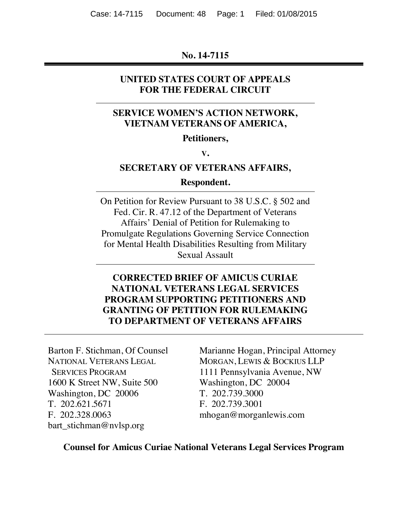### **No. 14-7115**

### **UNITED STATES COURT OF APPEALS FOR THE FEDERAL CIRCUIT**

## **SERVICE WOMEN'S ACTION NETWORK, VIETNAM VETERANS OF AMERICA,**

#### **Petitioners,**

**V.**

### **SECRETARY OF VETERANS AFFAIRS,**

#### **Respondent.**

On Petition for Review Pursuant to 38 U.S.C. § 502 and Fed. Cir. R. 47.12 of the Department of Veterans Affairs' Denial of Petition for Rulemaking to Promulgate Regulations Governing Service Connection for Mental Health Disabilities Resulting from Military Sexual Assault

## **CORRECTED BRIEF OF AMICUS CURIAE NATIONAL VETERANS LEGAL SERVICES PROGRAM SUPPORTING PETITIONERS AND GRANTING OF PETITION FOR RULEMAKING TO DEPARTMENT OF VETERANS AFFAIRS**

Barton F. Stichman, Of Counsel NATIONAL VETERANS LEGAL SERVICES PROGRAM 1600 K Street NW, Suite 500 Washington, DC 20006 T. 202.621.5671 F. 202.328.0063 bart\_stichman@nvlsp.org

Marianne Hogan, Principal Attorney MORGAN, LEWIS & BOCKIUS LLP 1111 Pennsylvania Avenue, NW Washington, DC 20004 T. 202.739.3000 F. 202.739.3001 mhogan@morganlewis.com

### **Counsel for Amicus Curiae National Veterans Legal Services Program**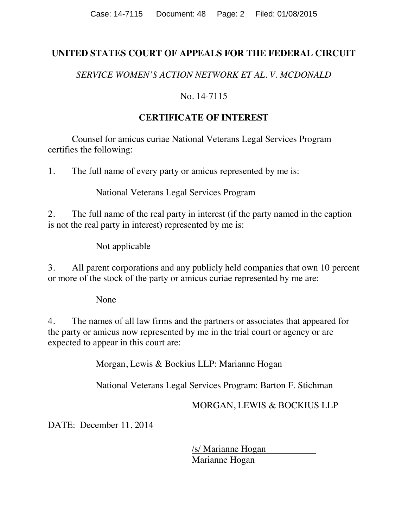## **UNITED STATES COURT OF APPEALS FOR THE FEDERAL CIRCUIT**

*SERVICE WOMEN'S ACTION NETWORK ET AL. V. MCDONALD*

## No. 14-7115

## **CERTIFICATE OF INTEREST**

Counsel for amicus curiae National Veterans Legal Services Program certifies the following:

1. The full name of every party or amicus represented by me is:

National Veterans Legal Services Program

2. The full name of the real party in interest (if the party named in the caption is not the real party in interest) represented by me is:

Not applicable

3. All parent corporations and any publicly held companies that own 10 percent or more of the stock of the party or amicus curiae represented by me are:

None

4. The names of all law firms and the partners or associates that appeared for the party or amicus now represented by me in the trial court or agency or are expected to appear in this court are:

Morgan, Lewis & Bockius LLP: Marianne Hogan

National Veterans Legal Services Program: Barton F. Stichman

MORGAN, LEWIS & BOCKIUS LLP

DATE: December 11, 2014

/s/ Marianne Hogan Marianne Hogan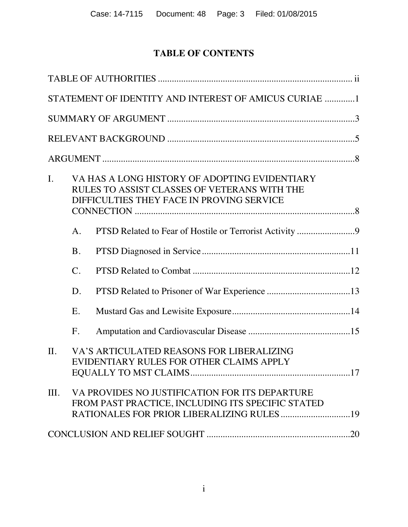# **TABLE OF CONTENTS**

|         |                | STATEMENT OF IDENTITY AND INTEREST OF AMICUS CURIAE 1                                                                                      |  |
|---------|----------------|--------------------------------------------------------------------------------------------------------------------------------------------|--|
|         |                |                                                                                                                                            |  |
|         |                |                                                                                                                                            |  |
|         |                |                                                                                                                                            |  |
| I.      |                | VA HAS A LONG HISTORY OF ADOPTING EVIDENTIARY<br>RULES TO ASSIST CLASSES OF VETERANS WITH THE<br>DIFFICULTIES THEY FACE IN PROVING SERVICE |  |
|         | A.             |                                                                                                                                            |  |
|         | <b>B.</b>      |                                                                                                                                            |  |
|         | $\mathbf{C}$ . |                                                                                                                                            |  |
|         | D.             |                                                                                                                                            |  |
|         | E.             |                                                                                                                                            |  |
|         | $F_{\cdot}$    |                                                                                                                                            |  |
| $\Pi$ . |                | VA'S ARTICULATED REASONS FOR LIBERALIZING<br>EVIDENTIARY RULES FOR OTHER CLAIMS APPLY                                                      |  |
| III.    |                | VA PROVIDES NO JUSTIFICATION FOR ITS DEPARTURE<br>FROM PAST PRACTICE, INCLUDING ITS SPECIFIC STATED                                        |  |
|         |                |                                                                                                                                            |  |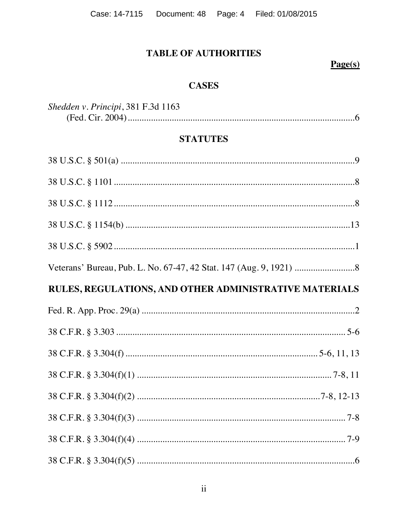Case: 14-7115 Document: 48 Page: 4 Filed: 01/08/2015

# **TABLE OF AUTHORITIES**

# $Page(s)$

## **CASES**

| Shedden v. Principi, 381 F.3d 1163 |  |
|------------------------------------|--|
|                                    |  |

## **STATUTES**

| RULES, REGULATIONS, AND OTHER ADMINISTRATIVE MATERIALS |  |
|--------------------------------------------------------|--|
|                                                        |  |
|                                                        |  |
|                                                        |  |
|                                                        |  |
|                                                        |  |
|                                                        |  |
|                                                        |  |
|                                                        |  |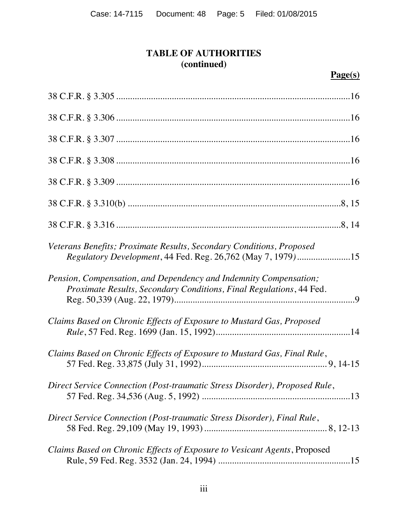# **TABLE OF AUTHORITIES (continued)**

# **Page(s)**

| Veterans Benefits; Proximate Results, Secondary Conditions, Proposed<br><i>Regulatory Development</i> , 44 Fed. Reg. 26,762 (May 7, 1979)15 |
|---------------------------------------------------------------------------------------------------------------------------------------------|
| Pension, Compensation, and Dependency and Indemnity Compensation;<br>Proximate Results, Secondary Conditions, Final Regulations, 44 Fed.    |
| Claims Based on Chronic Effects of Exposure to Mustard Gas, Proposed                                                                        |
| Claims Based on Chronic Effects of Exposure to Mustard Gas, Final Rule,                                                                     |
| Direct Service Connection (Post-traumatic Stress Disorder), Proposed Rule,                                                                  |
| Direct Service Connection (Post-traumatic Stress Disorder), Final Rule,                                                                     |
| Claims Based on Chronic Effects of Exposure to Vesicant Agents, Proposed                                                                    |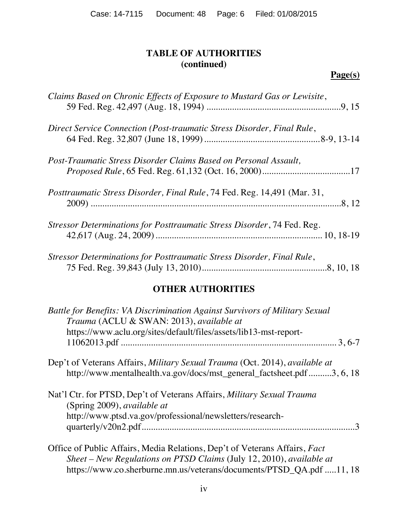## **TABLE OF AUTHORITIES (continued)**

# **Page(s)**

| Claims Based on Chronic Effects of Exposure to Mustard Gas or Lewisite,  |
|--------------------------------------------------------------------------|
| Direct Service Connection (Post-traumatic Stress Disorder, Final Rule,   |
| Post-Traumatic Stress Disorder Claims Based on Personal Assault,         |
| Posttraumatic Stress Disorder, Final Rule, 74 Fed. Reg. 14,491 (Mar. 31, |
| Stressor Determinations for Posttraumatic Stress Disorder, 74 Fed. Reg.  |
| Stressor Determinations for Posttraumatic Stress Disorder, Final Rule,   |

## **OTHER AUTHORITIES**

| Battle for Benefits: VA Discrimination Against Survivors of Military Sexual<br>Trauma (ACLU & SWAN: 2013), available at                              |
|------------------------------------------------------------------------------------------------------------------------------------------------------|
| https://www.aclu.org/sites/default/files/assets/lib13-mst-report-                                                                                    |
| Dep't of Veterans Affairs, Military Sexual Trauma (Oct. 2014), available at<br>http://www.mentalhealth.va.gov/docs/mst_general_factsheet.pdf3, 6, 18 |
| Nat'l Ctr. for PTSD, Dep't of Veterans Affairs, Military Sexual Trauma<br>(Spring 2009), <i>available at</i>                                         |
| http://www.ptsd.va.gov/professional/newsletters/research-                                                                                            |
| Office of Public Affairs, Media Relations, Dep't of Veterans Affairs, Fact                                                                           |
| Sheet – New Regulations on PTSD Claims (July 12, 2010), available at                                                                                 |
| https://www.co.sherburne.mn.us/veterans/documents/PTSD QA.pdf 11, 18                                                                                 |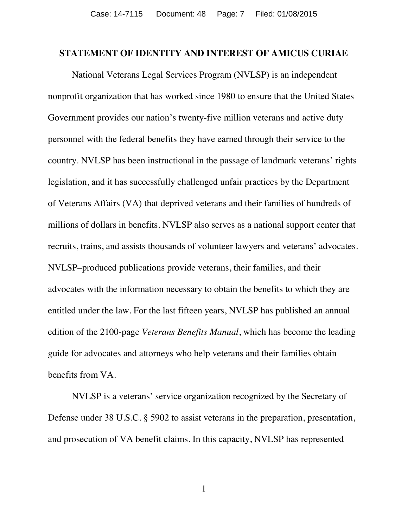#### **STATEMENT OF IDENTITY AND INTEREST OF AMICUS CURIAE**

National Veterans Legal Services Program (NVLSP) is an independent nonprofit organization that has worked since 1980 to ensure that the United States Government provides our nation's twenty-five million veterans and active duty personnel with the federal benefits they have earned through their service to the country. NVLSP has been instructional in the passage of landmark veterans' rights legislation, and it has successfully challenged unfair practices by the Department of Veterans Affairs (VA) that deprived veterans and their families of hundreds of millions of dollars in benefits. NVLSP also serves as a national support center that recruits, trains, and assists thousands of volunteer lawyers and veterans' advocates. NVLSP–produced publications provide veterans, their families, and their advocates with the information necessary to obtain the benefits to which they are entitled under the law. For the last fifteen years, NVLSP has published an annual edition of the 2100-page *Veterans Benefits Manual*, which has become the leading guide for advocates and attorneys who help veterans and their families obtain benefits from VA.

NVLSP is a veterans' service organization recognized by the Secretary of Defense under 38 U.S.C. § 5902 to assist veterans in the preparation, presentation, and prosecution of VA benefit claims. In this capacity, NVLSP has represented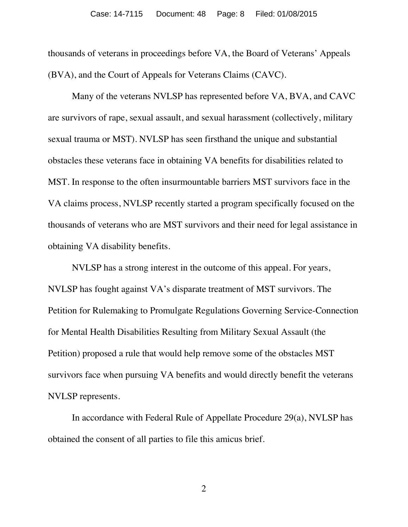thousands of veterans in proceedings before VA, the Board of Veterans' Appeals (BVA), and the Court of Appeals for Veterans Claims (CAVC).

Many of the veterans NVLSP has represented before VA, BVA, and CAVC are survivors of rape, sexual assault, and sexual harassment (collectively, military sexual trauma or MST). NVLSP has seen firsthand the unique and substantial obstacles these veterans face in obtaining VA benefits for disabilities related to MST. In response to the often insurmountable barriers MST survivors face in the VA claims process, NVLSP recently started a program specifically focused on the thousands of veterans who are MST survivors and their need for legal assistance in obtaining VA disability benefits.

NVLSP has a strong interest in the outcome of this appeal. For years, NVLSP has fought against VA's disparate treatment of MST survivors. The Petition for Rulemaking to Promulgate Regulations Governing Service-Connection for Mental Health Disabilities Resulting from Military Sexual Assault (the Petition) proposed a rule that would help remove some of the obstacles MST survivors face when pursuing VA benefits and would directly benefit the veterans NVLSP represents.

In accordance with Federal Rule of Appellate Procedure 29(a), NVLSP has obtained the consent of all parties to file this amicus brief.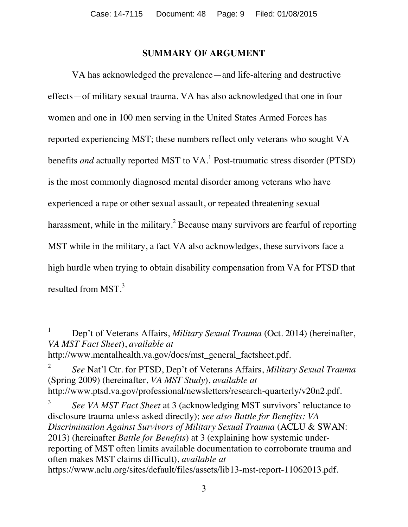### **SUMMARY OF ARGUMENT**

VA has acknowledged the prevalence—and life-altering and destructive effects—of military sexual trauma. VA has also acknowledged that one in four women and one in 100 men serving in the United States Armed Forces has reported experiencing MST; these numbers reflect only veterans who sought VA benefits *and* actually reported MST to VA.<sup>[1](#page-8-0)</sup> Post-traumatic stress disorder (PTSD) is the most commonly diagnosed mental disorder among veterans who have experienced a rape or other sexual assault, or repeated threatening sexual harassment, while in the military.<sup>[2](#page-8-1)</sup> Because many survivors are fearful of reporting MST while in the military, a fact VA also acknowledges, these survivors face a high hurdle when trying to obtain disability compensation from VA for PTSD that resulted from MST.<sup>[3](#page-8-2)</sup>

http://www.mentalhealth.va.gov/docs/mst\_general\_factsheet.pdf.

<span id="page-8-1"></span><sup>2</sup> *See* Nat'l Ctr. for PTSD, Dep't of Veterans Affairs, *Military Sexual Trauma* (Spring 2009) (hereinafter, *VA MST Study*), *available at* http://www.ptsd.va.gov/professional/newsletters/research-quarterly/v20n2.pdf.

<span id="page-8-0"></span><sup>1</sup> Dep't of Veterans Affairs, *Military Sexual Trauma* (Oct. 2014) (hereinafter, *VA MST Fact Sheet*), *available at*

<span id="page-8-2"></span><sup>3</sup> *See VA MST Fact Sheet* at 3 (acknowledging MST survivors' reluctance to disclosure trauma unless asked directly); *see also Battle for Benefits: VA Discrimination Against Survivors of Military Sexual Trauma* (ACLU & SWAN: 2013) (hereinafter *Battle for Benefits*) at 3 (explaining how systemic underreporting of MST often limits available documentation to corroborate trauma and often makes MST claims difficult), *available at* https://www.aclu.org/sites/default/files/assets/lib13-mst-report-11062013.pdf.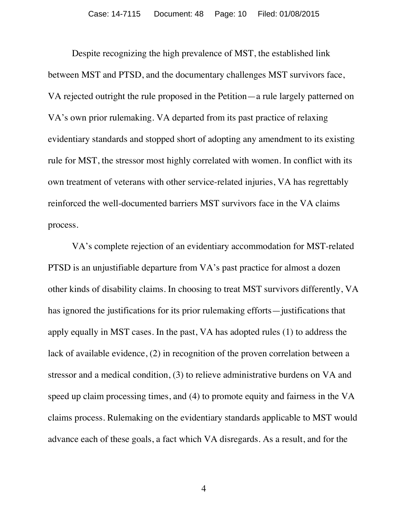Despite recognizing the high prevalence of MST, the established link between MST and PTSD, and the documentary challenges MST survivors face, VA rejected outright the rule proposed in the Petition—a rule largely patterned on VA's own prior rulemaking. VA departed from its past practice of relaxing evidentiary standards and stopped short of adopting any amendment to its existing rule for MST, the stressor most highly correlated with women. In conflict with its own treatment of veterans with other service-related injuries, VA has regrettably reinforced the well-documented barriers MST survivors face in the VA claims process.

VA's complete rejection of an evidentiary accommodation for MST-related PTSD is an unjustifiable departure from VA's past practice for almost a dozen other kinds of disability claims. In choosing to treat MST survivors differently, VA has ignored the justifications for its prior rulemaking efforts—justifications that apply equally in MST cases. In the past, VA has adopted rules (1) to address the lack of available evidence, (2) in recognition of the proven correlation between a stressor and a medical condition, (3) to relieve administrative burdens on VA and speed up claim processing times, and (4) to promote equity and fairness in the VA claims process. Rulemaking on the evidentiary standards applicable to MST would advance each of these goals, a fact which VA disregards. As a result, and for the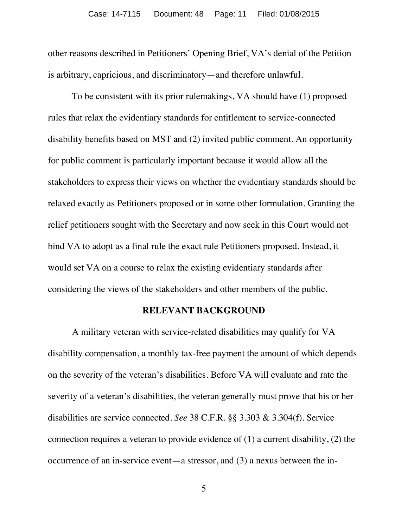other reasons described in Petitioners' Opening Brief, VA's denial of the Petition is arbitrary, capricious, and discriminatory—and therefore unlawful.

To be consistent with its prior rulemakings, VA should have (1) proposed rules that relax the evidentiary standards for entitlement to service-connected disability benefits based on MST and (2) invited public comment. An opportunity for public comment is particularly important because it would allow all the stakeholders to express their views on whether the evidentiary standards should be relaxed exactly as Petitioners proposed or in some other formulation. Granting the relief petitioners sought with the Secretary and now seek in this Court would not bind VA to adopt as a final rule the exact rule Petitioners proposed. Instead, it would set VA on a course to relax the existing evidentiary standards after considering the views of the stakeholders and other members of the public.

### **RELEVANT BACKGROUND**

A military veteran with service-related disabilities may qualify for VA disability compensation, a monthly tax-free payment the amount of which depends on the severity of the veteran's disabilities. Before VA will evaluate and rate the severity of a veteran's disabilities, the veteran generally must prove that his or her disabilities are service connected. *See* 38 C.F.R. §§ 3.303 & 3.304(f). Service connection requires a veteran to provide evidence of (1) a current disability, (2) the occurrence of an in-service event—a stressor, and (3) a nexus between the in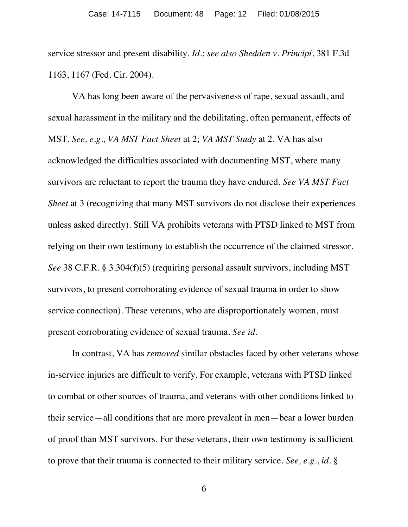service stressor and present disability. *Id.*; *see also Shedden v. Principi*, 381 F.3d 1163, 1167 (Fed. Cir. 2004).

VA has long been aware of the pervasiveness of rape, sexual assault, and sexual harassment in the military and the debilitating, often permanent, effects of MST. *See, e.g.*, *VA MST Fact Sheet* at 2; *VA MST Study* at 2. VA has also acknowledged the difficulties associated with documenting MST, where many survivors are reluctant to report the trauma they have endured. *See VA MST Fact Sheet* at 3 (recognizing that many MST survivors do not disclose their experiences unless asked directly). Still VA prohibits veterans with PTSD linked to MST from relying on their own testimony to establish the occurrence of the claimed stressor. *See* 38 C.F.R. § 3.304(f)(5) (requiring personal assault survivors, including MST survivors, to present corroborating evidence of sexual trauma in order to show service connection). These veterans, who are disproportionately women, must present corroborating evidence of sexual trauma. *See id.*

In contrast, VA has *removed* similar obstacles faced by other veterans whose in-service injuries are difficult to verify. For example, veterans with PTSD linked to combat or other sources of trauma, and veterans with other conditions linked to their service—all conditions that are more prevalent in men—bear a lower burden of proof than MST survivors. For these veterans, their own testimony is sufficient to prove that their trauma is connected to their military service. *See, e.g.*, *id.* §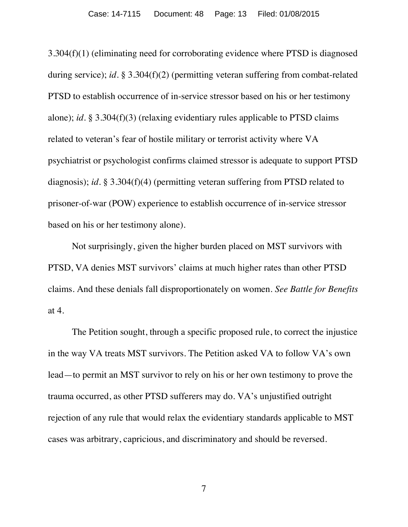3.304(f)(1) (eliminating need for corroborating evidence where PTSD is diagnosed during service); *id.* § 3.304(f)(2) (permitting veteran suffering from combat-related PTSD to establish occurrence of in-service stressor based on his or her testimony alone); *id.* § 3.304(f)(3) (relaxing evidentiary rules applicable to PTSD claims related to veteran's fear of hostile military or terrorist activity where VA psychiatrist or psychologist confirms claimed stressor is adequate to support PTSD diagnosis); *id.* § 3.304(f)(4) (permitting veteran suffering from PTSD related to prisoner-of-war (POW) experience to establish occurrence of in-service stressor based on his or her testimony alone).

Not surprisingly, given the higher burden placed on MST survivors with PTSD, VA denies MST survivors' claims at much higher rates than other PTSD claims. And these denials fall disproportionately on women. *See Battle for Benefits* at 4.

The Petition sought, through a specific proposed rule, to correct the injustice in the way VA treats MST survivors. The Petition asked VA to follow VA's own lead—to permit an MST survivor to rely on his or her own testimony to prove the trauma occurred, as other PTSD sufferers may do. VA's unjustified outright rejection of any rule that would relax the evidentiary standards applicable to MST cases was arbitrary, capricious, and discriminatory and should be reversed.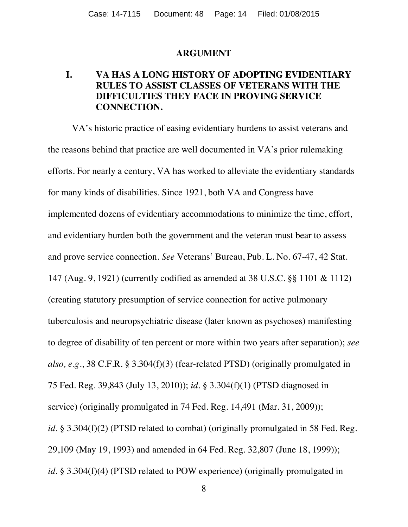#### **ARGUMENT**

## **I. VA HAS A LONG HISTORY OF ADOPTING EVIDENTIARY RULES TO ASSIST CLASSES OF VETERANS WITH THE DIFFICULTIES THEY FACE IN PROVING SERVICE CONNECTION.**

VA's historic practice of easing evidentiary burdens to assist veterans and the reasons behind that practice are well documented in VA's prior rulemaking efforts. For nearly a century, VA has worked to alleviate the evidentiary standards for many kinds of disabilities. Since 1921, both VA and Congress have implemented dozens of evidentiary accommodations to minimize the time, effort, and evidentiary burden both the government and the veteran must bear to assess and prove service connection. *See* Veterans' Bureau, Pub. L. No. 67-47, 42 Stat. 147 (Aug. 9, 1921) (currently codified as amended at 38 U.S.C. §§ 1101 & 1112) (creating statutory presumption of service connection for active pulmonary tuberculosis and neuropsychiatric disease (later known as psychoses) manifesting to degree of disability of ten percent or more within two years after separation); *see also, e.g.*, 38 C.F.R. § 3.304(f)(3) (fear-related PTSD) (originally promulgated in 75 Fed. Reg. 39,843 (July 13, 2010)); *id.* § 3.304(f)(1) (PTSD diagnosed in service) (originally promulgated in 74 Fed. Reg. 14,491 (Mar. 31, 2009)); *id.* § 3.304(f)(2) (PTSD related to combat) (originally promulgated in 58 Fed. Reg. 29,109 (May 19, 1993) and amended in 64 Fed. Reg. 32,807 (June 18, 1999)); *id.* § 3.304(f)(4) (PTSD related to POW experience) (originally promulgated in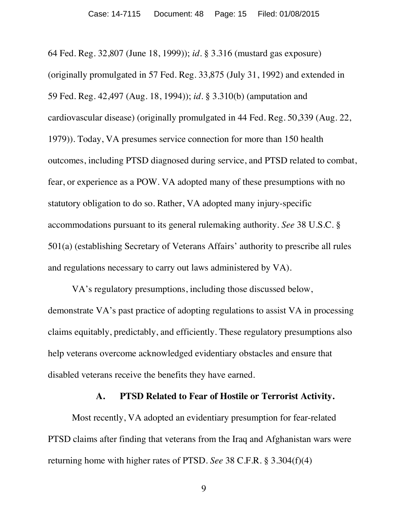64 Fed. Reg. 32,807 (June 18, 1999)); *id.* § 3.316 (mustard gas exposure) (originally promulgated in 57 Fed. Reg. 33,875 (July 31, 1992) and extended in 59 Fed. Reg. 42,497 (Aug. 18, 1994)); *id.* § 3.310(b) (amputation and cardiovascular disease) (originally promulgated in 44 Fed. Reg. 50,339 (Aug. 22, 1979)). Today, VA presumes service connection for more than 150 health outcomes, including PTSD diagnosed during service, and PTSD related to combat, fear, or experience as a POW. VA adopted many of these presumptions with no statutory obligation to do so. Rather, VA adopted many injury-specific accommodations pursuant to its general rulemaking authority. *See* 38 U.S.C. § 501(a) (establishing Secretary of Veterans Affairs' authority to prescribe all rules and regulations necessary to carry out laws administered by VA).

VA's regulatory presumptions, including those discussed below, demonstrate VA's past practice of adopting regulations to assist VA in processing claims equitably, predictably, and efficiently. These regulatory presumptions also help veterans overcome acknowledged evidentiary obstacles and ensure that disabled veterans receive the benefits they have earned.

### **A. PTSD Related to Fear of Hostile or Terrorist Activity.**

Most recently, VA adopted an evidentiary presumption for fear-related PTSD claims after finding that veterans from the Iraq and Afghanistan wars were returning home with higher rates of PTSD. *See* 38 C.F.R. § 3.304(f)(4)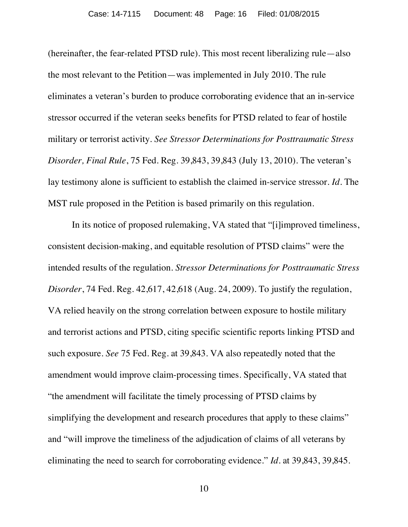(hereinafter, the fear-related PTSD rule). This most recent liberalizing rule—also the most relevant to the Petition—was implemented in July 2010. The rule eliminates a veteran's burden to produce corroborating evidence that an in-service stressor occurred if the veteran seeks benefits for PTSD related to fear of hostile military or terrorist activity. *See Stressor Determinations for Posttraumatic Stress Disorder, Final Rule*, 75 Fed. Reg. 39,843, 39,843 (July 13, 2010). The veteran's lay testimony alone is sufficient to establish the claimed in-service stressor. *Id.* The MST rule proposed in the Petition is based primarily on this regulation.

In its notice of proposed rulemaking, VA stated that "[i]improved timeliness, consistent decision-making, and equitable resolution of PTSD claims" were the intended results of the regulation. *Stressor Determinations for Posttraumatic Stress Disorder*, 74 Fed. Reg. 42,617, 42,618 (Aug. 24, 2009). To justify the regulation, VA relied heavily on the strong correlation between exposure to hostile military and terrorist actions and PTSD, citing specific scientific reports linking PTSD and such exposure. *See* 75 Fed. Reg. at 39,843. VA also repeatedly noted that the amendment would improve claim-processing times. Specifically, VA stated that "the amendment will facilitate the timely processing of PTSD claims by simplifying the development and research procedures that apply to these claims" and "will improve the timeliness of the adjudication of claims of all veterans by eliminating the need to search for corroborating evidence." *Id.* at 39,843, 39,845.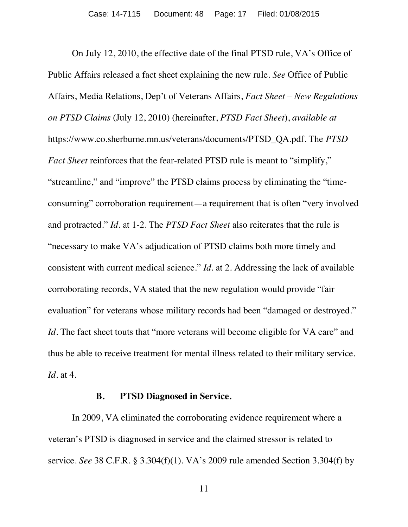On July 12, 2010, the effective date of the final PTSD rule, VA's Office of Public Affairs released a fact sheet explaining the new rule. *See* Office of Public Affairs, Media Relations, Dep't of Veterans Affairs, *Fact Sheet – New Regulations on PTSD Claims* (July 12, 2010) (hereinafter, *PTSD Fact Sheet*), *available at* https://www.co.sherburne.mn.us/veterans/documents/PTSD\_QA.pdf. The *PTSD Fact Sheet* reinforces that the fear-related PTSD rule is meant to "simplify," "streamline," and "improve" the PTSD claims process by eliminating the "timeconsuming" corroboration requirement—a requirement that is often "very involved and protracted." *Id.* at 1-2. The *PTSD Fact Sheet* also reiterates that the rule is "necessary to make VA's adjudication of PTSD claims both more timely and consistent with current medical science." *Id.* at 2. Addressing the lack of available corroborating records, VA stated that the new regulation would provide "fair evaluation" for veterans whose military records had been "damaged or destroyed." *Id.* The fact sheet touts that "more veterans will become eligible for VA care" and thus be able to receive treatment for mental illness related to their military service. *Id.* at 4.

#### **B. PTSD Diagnosed in Service.**

In 2009, VA eliminated the corroborating evidence requirement where a veteran's PTSD is diagnosed in service and the claimed stressor is related to service. *See* 38 C.F.R. § 3.304(f)(1). VA's 2009 rule amended Section 3.304(f) by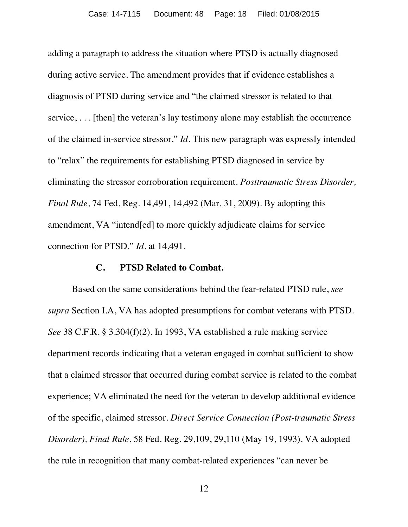adding a paragraph to address the situation where PTSD is actually diagnosed during active service. The amendment provides that if evidence establishes a diagnosis of PTSD during service and "the claimed stressor is related to that service, . . . [then] the veteran's lay testimony alone may establish the occurrence of the claimed in-service stressor." *Id.* This new paragraph was expressly intended to "relax" the requirements for establishing PTSD diagnosed in service by eliminating the stressor corroboration requirement. *Posttraumatic Stress Disorder, Final Rule*, 74 Fed. Reg. 14,491, 14,492 (Mar. 31, 2009). By adopting this amendment, VA "intend[ed] to more quickly adjudicate claims for service connection for PTSD." *Id.* at 14,491.

#### **C. PTSD Related to Combat.**

Based on the same considerations behind the fear-related PTSD rule, *see supra* Section I.A, VA has adopted presumptions for combat veterans with PTSD. *See* 38 C.F.R. § 3.304(f)(2). In 1993, VA established a rule making service department records indicating that a veteran engaged in combat sufficient to show that a claimed stressor that occurred during combat service is related to the combat experience; VA eliminated the need for the veteran to develop additional evidence of the specific, claimed stressor. *Direct Service Connection (Post-traumatic Stress Disorder), Final Rule*, 58 Fed. Reg. 29,109, 29,110 (May 19, 1993). VA adopted the rule in recognition that many combat-related experiences "can never be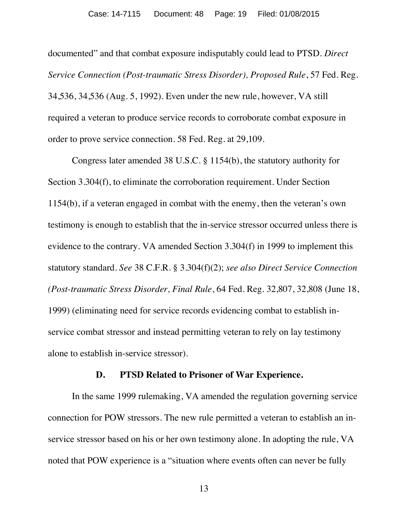documented" and that combat exposure indisputably could lead to PTSD. *Direct Service Connection (Post-traumatic Stress Disorder), Proposed Rule, 57 Fed. Reg.* 34,536, 34,536 (Aug. 5, 1992). Even under the new rule, however, VA still required a veteran to produce service records to corroborate combat exposure in order to prove service connection. 58 Fed. Reg. at 29,109.

Congress later amended 38 U.S.C. § 1154(b), the statutory authority for Section 3.304(f), to eliminate the corroboration requirement. Under Section 1154(b), if a veteran engaged in combat with the enemy, then the veteran's own testimony is enough to establish that the in-service stressor occurred unless there is evidence to the contrary. VA amended Section 3.304(f) in 1999 to implement this statutory standard. *See* 38 C.F.R. § 3.304(f)(2); *see also Direct Service Connection (Post-traumatic Stress Disorder, Final Rule*, 64 Fed. Reg. 32,807, 32,808 (June 18, 1999) (eliminating need for service records evidencing combat to establish inservice combat stressor and instead permitting veteran to rely on lay testimony alone to establish in-service stressor).

#### **D. PTSD Related to Prisoner of War Experience.**

In the same 1999 rulemaking, VA amended the regulation governing service connection for POW stressors. The new rule permitted a veteran to establish an inservice stressor based on his or her own testimony alone. In adopting the rule, VA noted that POW experience is a "situation where events often can never be fully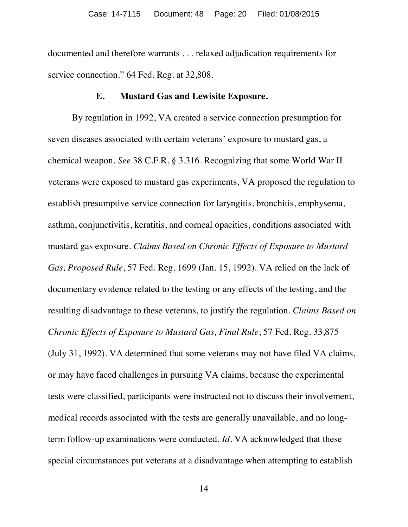documented and therefore warrants . . . relaxed adjudication requirements for service connection." 64 Fed. Reg. at 32,808.

### **E. Mustard Gas and Lewisite Exposure.**

By regulation in 1992, VA created a service connection presumption for seven diseases associated with certain veterans' exposure to mustard gas, a chemical weapon. *See* 38 C.F.R. § 3.316. Recognizing that some World War II veterans were exposed to mustard gas experiments, VA proposed the regulation to establish presumptive service connection for laryngitis, bronchitis, emphysema, asthma, conjunctivitis, keratitis, and corneal opacities, conditions associated with mustard gas exposure. *Claims Based on Chronic Effects of Exposure to Mustard Gas, Proposed Rule*, 57 Fed. Reg. 1699 (Jan. 15, 1992). VA relied on the lack of documentary evidence related to the testing or any effects of the testing, and the resulting disadvantage to these veterans, to justify the regulation. *Claims Based on Chronic Effects of Exposure to Mustard Gas, Final Rule*, 57 Fed. Reg. 33,875 (July 31, 1992). VA determined that some veterans may not have filed VA claims, or may have faced challenges in pursuing VA claims, because the experimental tests were classified, participants were instructed not to discuss their involvement, medical records associated with the tests are generally unavailable, and no longterm follow-up examinations were conducted. *Id.* VA acknowledged that these

special circumstances put veterans at a disadvantage when attempting to establish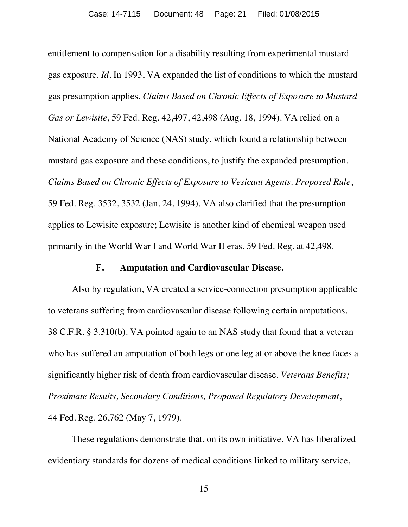entitlement to compensation for a disability resulting from experimental mustard gas exposure. *Id.* In 1993, VA expanded the list of conditions to which the mustard gas presumption applies. *Claims Based on Chronic Effects of Exposure to Mustard Gas or Lewisite*, 59 Fed. Reg. 42,497, 42,498 (Aug. 18, 1994). VA relied on a National Academy of Science (NAS) study, which found a relationship between mustard gas exposure and these conditions, to justify the expanded presumption. *Claims Based on Chronic Effects of Exposure to Vesicant Agents, Proposed Rule*, 59 Fed. Reg. 3532, 3532 (Jan. 24, 1994). VA also clarified that the presumption applies to Lewisite exposure; Lewisite is another kind of chemical weapon used primarily in the World War I and World War II eras. 59 Fed. Reg. at 42,498.

### **F. Amputation and Cardiovascular Disease.**

Also by regulation, VA created a service-connection presumption applicable to veterans suffering from cardiovascular disease following certain amputations. 38 C.F.R. § 3.310(b). VA pointed again to an NAS study that found that a veteran who has suffered an amputation of both legs or one leg at or above the knee faces a significantly higher risk of death from cardiovascular disease. *Veterans Benefits; Proximate Results, Secondary Conditions, Proposed Regulatory Development*, 44 Fed. Reg. 26,762 (May 7, 1979).

These regulations demonstrate that, on its own initiative, VA has liberalized evidentiary standards for dozens of medical conditions linked to military service,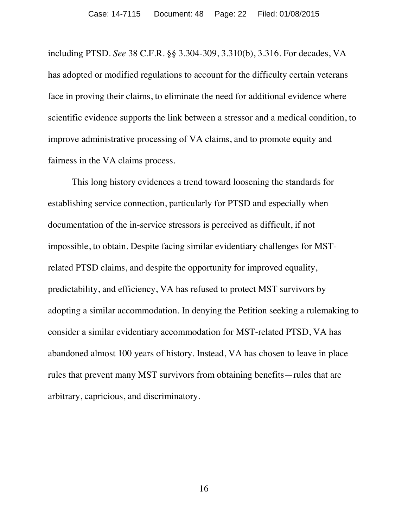including PTSD. *See* 38 C.F.R. §§ 3.304-309, 3.310(b), 3.316. For decades, VA has adopted or modified regulations to account for the difficulty certain veterans face in proving their claims, to eliminate the need for additional evidence where scientific evidence supports the link between a stressor and a medical condition, to improve administrative processing of VA claims, and to promote equity and fairness in the VA claims process.

This long history evidences a trend toward loosening the standards for establishing service connection, particularly for PTSD and especially when documentation of the in-service stressors is perceived as difficult, if not impossible, to obtain. Despite facing similar evidentiary challenges for MSTrelated PTSD claims, and despite the opportunity for improved equality, predictability, and efficiency, VA has refused to protect MST survivors by adopting a similar accommodation. In denying the Petition seeking a rulemaking to consider a similar evidentiary accommodation for MST-related PTSD, VA has abandoned almost 100 years of history. Instead, VA has chosen to leave in place rules that prevent many MST survivors from obtaining benefits—rules that are arbitrary, capricious, and discriminatory.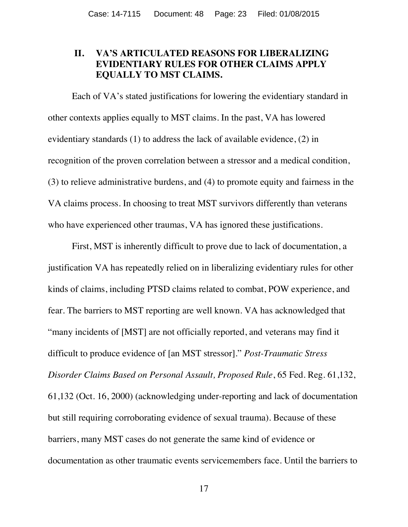### **II. VA'S ARTICULATED REASONS FOR LIBERALIZING EVIDENTIARY RULES FOR OTHER CLAIMS APPLY EQUALLY TO MST CLAIMS.**

Each of VA's stated justifications for lowering the evidentiary standard in other contexts applies equally to MST claims. In the past, VA has lowered evidentiary standards (1) to address the lack of available evidence, (2) in recognition of the proven correlation between a stressor and a medical condition, (3) to relieve administrative burdens, and (4) to promote equity and fairness in the VA claims process. In choosing to treat MST survivors differently than veterans who have experienced other traumas, VA has ignored these justifications.

First, MST is inherently difficult to prove due to lack of documentation, a justification VA has repeatedly relied on in liberalizing evidentiary rules for other kinds of claims, including PTSD claims related to combat, POW experience, and fear. The barriers to MST reporting are well known. VA has acknowledged that "many incidents of [MST] are not officially reported, and veterans may find it difficult to produce evidence of [an MST stressor]." *Post-Traumatic Stress Disorder Claims Based on Personal Assault, Proposed Rule*, 65 Fed. Reg. 61,132, 61,132 (Oct. 16, 2000) (acknowledging under-reporting and lack of documentation but still requiring corroborating evidence of sexual trauma). Because of these barriers, many MST cases do not generate the same kind of evidence or documentation as other traumatic events servicemembers face. Until the barriers to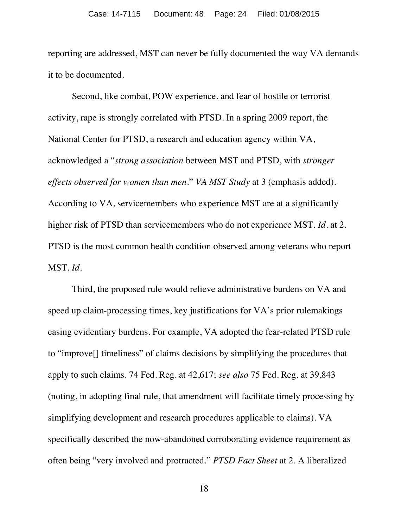reporting are addressed, MST can never be fully documented the way VA demands it to be documented.

Second, like combat, POW experience, and fear of hostile or terrorist activity, rape is strongly correlated with PTSD. In a spring 2009 report, the National Center for PTSD, a research and education agency within VA, acknowledged a "*strong association* between MST and PTSD, with *stronger effects observed for women than men*." *VA MST Study* at 3 (emphasis added). According to VA, servicemembers who experience MST are at a significantly higher risk of PTSD than servicemembers who do not experience MST. *Id.* at 2. PTSD is the most common health condition observed among veterans who report MST. *Id.*

Third, the proposed rule would relieve administrative burdens on VA and speed up claim-processing times, key justifications for VA's prior rulemakings easing evidentiary burdens. For example, VA adopted the fear-related PTSD rule to "improve[] timeliness" of claims decisions by simplifying the procedures that apply to such claims. 74 Fed. Reg. at 42,617; *see also* 75 Fed. Reg. at 39,843 (noting, in adopting final rule, that amendment will facilitate timely processing by simplifying development and research procedures applicable to claims). VA specifically described the now-abandoned corroborating evidence requirement as often being "very involved and protracted." *PTSD Fact Sheet* at 2. A liberalized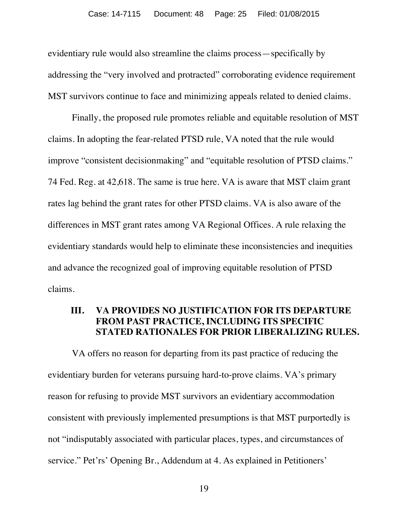evidentiary rule would also streamline the claims process—specifically by addressing the "very involved and protracted" corroborating evidence requirement MST survivors continue to face and minimizing appeals related to denied claims.

Finally, the proposed rule promotes reliable and equitable resolution of MST claims. In adopting the fear-related PTSD rule, VA noted that the rule would improve "consistent decisionmaking" and "equitable resolution of PTSD claims." 74 Fed. Reg. at 42,618. The same is true here. VA is aware that MST claim grant rates lag behind the grant rates for other PTSD claims. VA is also aware of the differences in MST grant rates among VA Regional Offices. A rule relaxing the evidentiary standards would help to eliminate these inconsistencies and inequities and advance the recognized goal of improving equitable resolution of PTSD claims.

## **III. VA PROVIDES NO JUSTIFICATION FOR ITS DEPARTURE FROM PAST PRACTICE, INCLUDING ITS SPECIFIC STATED RATIONALES FOR PRIOR LIBERALIZING RULES.**

VA offers no reason for departing from its past practice of reducing the evidentiary burden for veterans pursuing hard-to-prove claims. VA's primary reason for refusing to provide MST survivors an evidentiary accommodation consistent with previously implemented presumptions is that MST purportedly is not "indisputably associated with particular places, types, and circumstances of service." Pet'rs' Opening Br., Addendum at 4. As explained in Petitioners'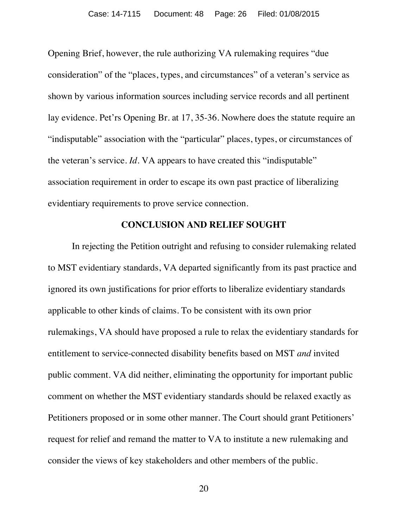Opening Brief, however, the rule authorizing VA rulemaking requires "due consideration" of the "places, types, and circumstances" of a veteran's service as shown by various information sources including service records and all pertinent lay evidence. Pet'rs Opening Br. at 17, 35-36. Nowhere does the statute require an "indisputable" association with the "particular" places, types, or circumstances of the veteran's service. *Id.* VA appears to have created this "indisputable" association requirement in order to escape its own past practice of liberalizing evidentiary requirements to prove service connection.

### **CONCLUSION AND RELIEF SOUGHT**

In rejecting the Petition outright and refusing to consider rulemaking related to MST evidentiary standards, VA departed significantly from its past practice and ignored its own justifications for prior efforts to liberalize evidentiary standards applicable to other kinds of claims. To be consistent with its own prior rulemakings, VA should have proposed a rule to relax the evidentiary standards for entitlement to service-connected disability benefits based on MST *and* invited public comment. VA did neither, eliminating the opportunity for important public comment on whether the MST evidentiary standards should be relaxed exactly as Petitioners proposed or in some other manner. The Court should grant Petitioners' request for relief and remand the matter to VA to institute a new rulemaking and consider the views of key stakeholders and other members of the public.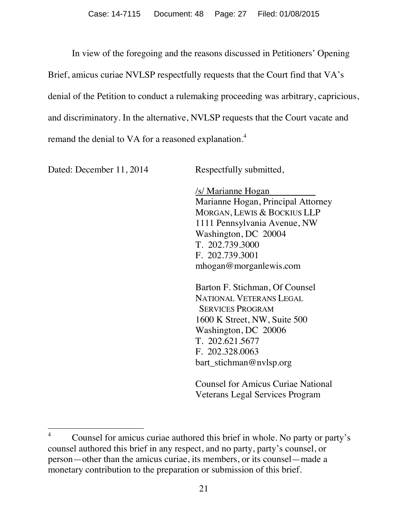In view of the foregoing and the reasons discussed in Petitioners' Opening Brief, amicus curiae NVLSP respectfully requests that the Court find that VA's denial of the Petition to conduct a rulemaking proceeding was arbitrary, capricious, and discriminatory. In the alternative, NVLSP requests that the Court vacate and remand the denial to VA for a reasoned explanation.<sup>[4](#page-26-0)</sup>

Dated: December 11, 2014 Respectfully submitted,

/s/ Marianne Hogan Marianne Hogan, Principal Attorney MORGAN, LEWIS & BOCKIUS LLP 1111 Pennsylvania Avenue, NW Washington, DC 20004 T. 202.739.3000 F. 202.739.3001 mhogan@morganlewis.com

Barton F. Stichman, Of Counsel NATIONAL VETERANS LEGAL SERVICES PROGRAM 1600 K Street, NW, Suite 500 Washington, DC 20006 T. 202.621.5677 F. 202.328.0063 bart\_stichman@nvlsp.org

Counsel for Amicus Curiae National Veterans Legal Services Program

<span id="page-26-0"></span><sup>&</sup>lt;sup>4</sup> Counsel for amicus curiae authored this brief in whole. No party or party's counsel authored this brief in any respect, and no party, party's counsel, or person—other than the amicus curiae, its members, or its counsel—made a monetary contribution to the preparation or submission of this brief.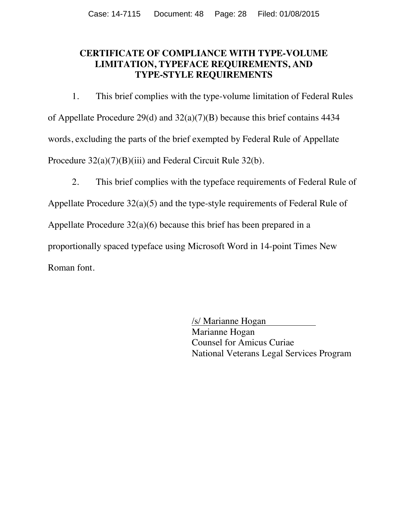## **CERTIFICATE OF COMPLIANCE WITH TYPE-VOLUME LIMITATION, TYPEFACE REQUIREMENTS, AND TYPE-STYLE REQUIREMENTS**

1. This brief complies with the type-volume limitation of Federal Rules of Appellate Procedure 29(d) and 32(a)(7)(B) because this brief contains 4434 words, excluding the parts of the brief exempted by Federal Rule of Appellate Procedure  $32(a)(7)(B)(iii)$  and Federal Circuit Rule 32(b).

2. This brief complies with the typeface requirements of Federal Rule of

Appellate Procedure 32(a)(5) and the type-style requirements of Federal Rule of

Appellate Procedure 32(a)(6) because this brief has been prepared in a

proportionally spaced typeface using Microsoft Word in 14-point Times New

Roman font.

/s/ Marianne Hogan Marianne Hogan Counsel for Amicus Curiae National Veterans Legal Services Program